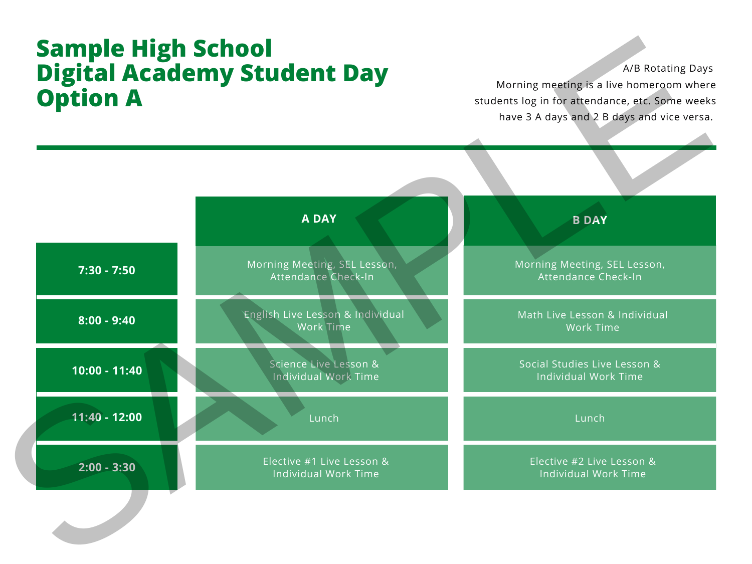## **Sample High School Digital Academy Student Day Option A**

A/B Rotating Days

Morning meeting is a live homeroom where students log in for attendance, etc. Some weeks have 3 A days and 2 B days and vice versa.